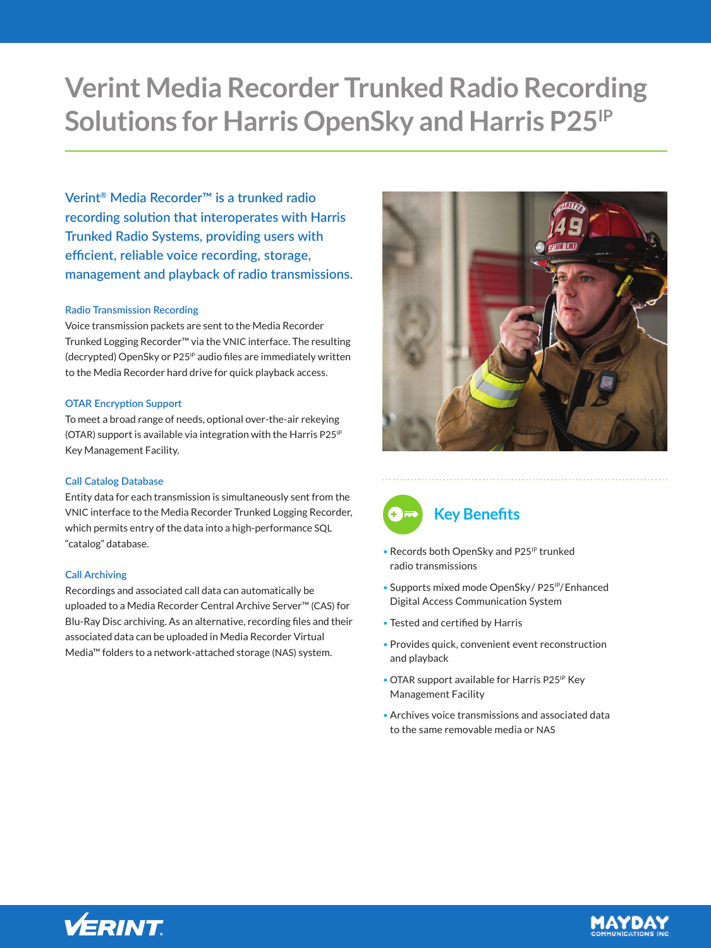# **Verint Media Recorder Trunked Radio Recording Solutions for Harris OpenSky and Harris P25IP**

**Verint® Media Recorder™ is a trunked radio recording solution that interoperates with Harris Trunked Radio Systems, providing users with efficient, reliable voice recording, storage, management and playback of radio transmissions.**

# **Radio Transmission Recording**

Voice transmission packets are sent to the Media Recorder Trunked Logging Recorder™ via the VNIC interface. The resulting (decrypted) OpenSky or P25<sup>IP</sup> audio files are immediately written to the Media Recorder hard drive for quick playback access.

## **OTAR Encryption Support**

To meet a broad range of needs, optional over-the-air rekeying (OTAR) support is available via integration with the Harris P25<sup>IP</sup> Key Management Facility.

# **Call Catalog Database**

Entity data for each transmission is simultaneously sent from the VNIC interface to the Media Recorder Trunked Logging Recorder, which permits entry of the data into a high-performance SQL "catalog" database.

## **Call Archiving**

Recordings and associated call data can automatically be uploaded to a Media Recorder Central Archive Server™ (CAS) for Blu-Ray Disc archiving. As an alternative, recording files and their associated data can be uploaded in Media Recorder Virtual Media™ folders to a network-attached storage (NAS) system.





- Records both OpenSky and P25<sup>IP</sup> trunked radio transmissions
- Supports mixed mode OpenSky / P25<sup>IP</sup>/ Enhanced Digital Access Communication System
- Tested and certified by Harris
- Provides quick, convenient event reconstruction and playback
- OTAR support available for Harris P25<sup>IP</sup> Key Management Facility
- Archives voice transmissions and associated data to the same removable media or NAS